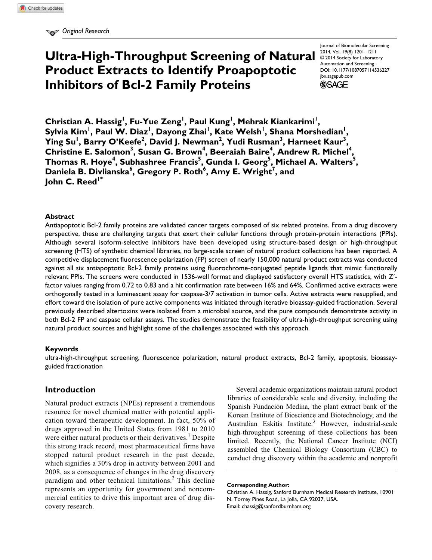# **Ultra-High-Throughput Screening of Natural Product Extracts to Identify Proapoptotic Inhibitors of Bcl-2 Family Proteins**

Journal of Biomolecular Screening 2014, Vol. 19(8) 1201-1211 © 2014 Society for Laboratory Automation and Screening DOI: 10.1177/1087057114536227 jbx.sagepub.com **SSAGE** 

**Christian A. Hassig<sup>1</sup> , Fu-Yue Zeng<sup>1</sup> , Paul Kung<sup>1</sup> , Mehrak Kiankarimi<sup>1</sup> , Sylvia Kim<sup>1</sup> , Paul W. Diaz<sup>1</sup> , Dayong Zhai<sup>1</sup> , Kate Welsh<sup>1</sup> , Shana Morshedian<sup>1</sup> , Ying Su<sup>1</sup> , Barry O'Keefe<sup>2</sup> , David J. Newman<sup>2</sup> , Yudi Rusman<sup>3</sup> , Harneet Kaur<sup>3</sup> , Christine E. Salomon<sup>3</sup> , Susan G. Brown<sup>4</sup> , Beeraiah Baire<sup>4</sup> , Andrew R. Michel<sup>4</sup> , Thomas R. Hoye<sup>4</sup> , Subhashree Francis<sup>5</sup> , Gunda I. Georg<sup>5</sup> , Michael A. Walters<sup>5</sup> , Daniela B. Divlianska<sup>6</sup> , Gregory P. Roth<sup>6</sup> , Amy E. Wright<sup>7</sup> , and John C. Reed1\***

#### **Abstract**

Antiapoptotic Bcl-2 family proteins are validated cancer targets composed of six related proteins. From a drug discovery perspective, these are challenging targets that exert their cellular functions through protein-protein interactions (PPIs). Although several isoform-selective inhibitors have been developed using structure-based design or high-throughput screening (HTS) of synthetic chemical libraries, no large-scale screen of natural product collections has been reported. A competitive displacement fluorescence polarization (FP) screen of nearly 150,000 natural product extracts was conducted against all six antiapoptotic Bcl-2 family proteins using fluorochrome-conjugated peptide ligands that mimic functionally relevant PPIs. The screens were conducted in 1536-well format and displayed satisfactory overall HTS statistics, with Z′ factor values ranging from 0.72 to 0.83 and a hit confirmation rate between 16% and 64%. Confirmed active extracts were orthogonally tested in a luminescent assay for caspase-3/7 activation in tumor cells. Active extracts were resupplied, and effort toward the isolation of pure active components was initiated through iterative bioassay-guided fractionation. Several previously described altertoxins were isolated from a microbial source, and the pure compounds demonstrate activity in both Bcl-2 FP and caspase cellular assays. The studies demonstrate the feasibility of ultra-high-throughput screening using natural product sources and highlight some of the challenges associated with this approach.

### **Keywords**

ultra-high-throughput screening, fluorescence polarization, natural product extracts, Bcl-2 family, apoptosis, bioassayguided fractionation

### **Introduction**

Natural product extracts (NPEs) represent a tremendous resource for novel chemical matter with potential application toward therapeutic development. In fact, 50% of drugs approved in the United States from 1981 to 2010 were either natural products or their derivatives.<sup>1</sup> Despite this strong track record, most pharmaceutical firms have stopped natural product research in the past decade, which signifies a 30% drop in activity between 2001 and 2008, as a consequence of changes in the drug discovery paradigm and other technical limitations.<sup>2</sup> This decline represents an opportunity for government and noncommercial entities to drive this important area of drug discovery research.

Several academic organizations maintain natural product libraries of considerable scale and diversity, including the Spanish Fundación Medina, the plant extract bank of the Korean Institute of Bioscience and Biotechnology, and the Australian Eskitis Institute.<sup>3</sup> However, industrial-scale high-throughput screening of these collections has been limited. Recently, the National Cancer Institute (NCI) assembled the Chemical Biology Consortium (CBC) to conduct drug discovery within the academic and nonprofit

Christian A. Hassig, Sanford Burnham Medical Research Institute, 10901 N. Torrey Pines Road, La Jolla, CA 92037, USA. Email: chassig@sanfordburnham.org

**Corresponding Author:**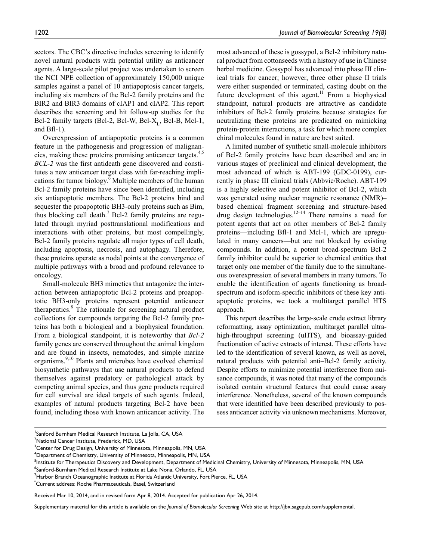sectors. The CBC's directive includes screening to identify novel natural products with potential utility as anticancer agents. A large-scale pilot project was undertaken to screen the NCI NPE collection of approximately 150,000 unique samples against a panel of 10 antiapoptosis cancer targets, including six members of the Bcl-2 family proteins and the BIR2 and BIR3 domains of cIAP1 and cIAP2. This report describes the screening and hit follow-up studies for the Bcl-2 family targets (Bcl-2, Bcl-W, Bcl-X<sub>L</sub>, Bcl-B, Mcl-1, and Bfl-1).

Overexpression of antiapoptotic proteins is a common feature in the pathogenesis and progression of malignancies, making these proteins promising anticancer targets.<sup>4,5</sup> *BCL-2* was the first antideath gene discovered and constitutes a new anticancer target class with far-reaching implications for tumor biology.<sup>6</sup> Multiple members of the human Bcl-2 family proteins have since been identified, including six antiapoptotic members. The Bcl-2 proteins bind and sequester the proapoptotic BH3-only proteins such as Bim, thus blocking cell death. $7$  Bcl-2 family proteins are regulated through myriad posttranslational modifications and interactions with other proteins, but most compellingly, Bcl-2 family proteins regulate all major types of cell death, including apoptosis, necrosis, and autophagy. Therefore, these proteins operate as nodal points at the convergence of multiple pathways with a broad and profound relevance to oncology.

Small-molecule BH3 mimetics that antagonize the interaction between antiapoptotic Bcl-2 proteins and proapoptotic BH3-only proteins represent potential anticancer therapeutics.<sup>8</sup> The rationale for screening natural product collections for compounds targeting the Bcl-2 family proteins has both a biological and a biophysical foundation. From a biological standpoint, it is noteworthy that *Bcl-2* family genes are conserved throughout the animal kingdom and are found in insects, nematodes, and simple marine organisms.<sup>9,10</sup> Plants and microbes have evolved chemical biosynthetic pathways that use natural products to defend themselves against predatory or pathological attack by competing animal species, and thus gene products required for cell survival are ideal targets of such agents. Indeed, examples of natural products targeting Bcl-2 have been found, including those with known anticancer activity. The

most advanced of these is gossypol, a Bcl-2 inhibitory natural product from cottonseeds with a history of use in Chinese herbal medicine. Gossypol has advanced into phase III clinical trials for cancer; however, three other phase II trials were either suspended or terminated, casting doubt on the future development of this agent.<sup>11</sup> From a biophysical standpoint, natural products are attractive as candidate inhibitors of Bcl-2 family proteins because strategies for neutralizing these proteins are predicated on mimicking protein-protein interactions, a task for which more complex chiral molecules found in nature are best suited.

A limited number of synthetic small-molecule inhibitors of Bcl-2 family proteins have been described and are in various stages of preclinical and clinical development, the most advanced of which is ABT-199 (GDC-0199), currently in phase III clinical trials (Abbvie/Roche). ABT-199 is a highly selective and potent inhibitor of Bcl-2, which was generated using nuclear magnetic resonance (NMR)– based chemical fragment screening and structure-based drug design technologies.<sup>12–14</sup> There remains a need for potent agents that act on other members of Bcl-2 family proteins—including Bfl-1 and Mcl-1, which are upregulated in many cancers—but are not blocked by existing compounds. In addition, a potent broad-spectrum Bcl-2 family inhibitor could be superior to chemical entities that target only one member of the family due to the simultaneous overexpression of several members in many tumors. To enable the identification of agents functioning as broadspectrum and isoform-specific inhibitors of these key antiapoptotic proteins, we took a multitarget parallel HTS approach.

This report describes the large-scale crude extract library reformatting, assay optimization, multitarget parallel ultrahigh-throughput screening (uHTS), and bioassay-guided fractionation of active extracts of interest. These efforts have led to the identification of several known, as well as novel, natural products with potential anti–Bcl-2 family activity. Despite efforts to minimize potential interference from nuisance compounds, it was noted that many of the compounds isolated contain structural features that could cause assay interference. Nonetheless, several of the known compounds that were identified have been described previously to possess anticancer activity via unknown mechanisms. Moreover,

Supplementary material for this article is available on the *Journal of Biomolecular Screening* Web site at http://jbx.sagepub.com/supplemental.

<sup>&</sup>lt;sup>1</sup>Sanford Burnham Medical Research Institute, La Jolla, CA, USA

<sup>&</sup>lt;sup>2</sup>National Cancer Institute, Frederick, MD, USA

<sup>&</sup>lt;sup>3</sup>Center for Drug Design, University of Minnesota, Minneapolis, MN, USA

 $^4$ Department of Chemistry, University of Minnesota, Minneapolis, MN, USA

<sup>&</sup>lt;sup>5</sup>Institute for Therapeutics Discovery and Development, Department of Medicinal Chemistry, University of Minnesota, Minneapolis, MN, USA

<sup>6</sup> Sanford-Burnham Medical Research Institute at Lake Nona, Orlando, FL, USA

<sup>&</sup>lt;sup>7</sup>Harbor Branch Oceanographic Institute at Florida Atlantic University, Fort Pierce, FL, USA

<sup>\*</sup>Current address: Roche Pharmaceuticals, Basel, Switzerland

Received Mar 10, 2014, and in revised form Apr 8, 2014. Accepted for publication Apr 26, 2014.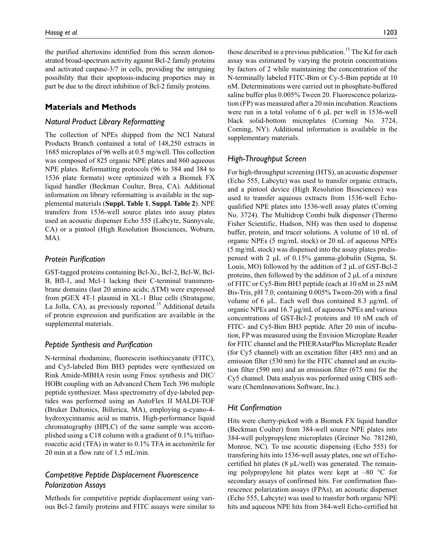the purified altertoxins identified from this screen demonstrated broad-spectrum activity against Bcl-2 family proteins and activated caspase-3/7 in cells, providing the intriguing possibility that their apoptosis-inducing properties may in part be due to the direct inhibition of Bcl-2 family proteins.

# **Materials and Methods**

# *Natural Product Library Reformatting*

The collection of NPEs shipped from the NCI Natural Products Branch contained a total of 148,250 extracts in 1685 microplates of 96 wells at 0.5 mg/well. This collection was composed of 825 organic NPE plates and 860 aqueous NPE plates. Reformatting protocols (96 to 384 and 384 to 1536 plate formats) were optimized with a Biomek FX liquid handler (Beckman Coulter, Brea, CA). Additional information on library reformatting is available in the supplemental materials (**Suppl. Table 1**, **Suppl. Table 2**). NPE transfers from 1536-well source plates into assay plates used an acoustic dispenser Echo 555 (Labcyte, Sunnyvale, CA) or a pintool (High Resolution Biosciences, Woburn, MA).

## *Protein Purification*

GST-tagged proteins containing Bcl-XL, Bcl-2, Bcl-W, Bcl-B, Bfl-1, and Mcl-1 lacking their C-terminal transmembrane domains (last 20 amino acids; ∆TM) were expressed from pGEX 4T-1 plasmid in XL-1 Blue cells (Stratagene, La Jolla, CA), as previously reported.<sup>15</sup> Additional details of protein expression and purification are available in the supplemental materials.

## *Peptide Synthesis and Purification*

N-terminal rhodamine, fluorescein isothiocyanate (FITC), and Cy5-labeled Bim BH3 peptides were synthesized on Rink Amide-MBHA resin using Fmoc synthesis and DIC/ HOBt coupling with an Advanced Chem Tech 396 multiple peptide synthesizer. Mass spectrometry of dye-labeled peptides was performed using an AutoFlex II MALDI-TOF (Bruker Daltonics, Billerica, MA), employing α-cyano-4 hydroxycinnamic acid as matrix. High-performance liquid chromatography (HPLC) of the same sample was accomplished using a C18 column with a gradient of 0.1% trifluoroacetic acid (TFA) in water to 0.1% TFA in acetonitrile for 20 min at a flow rate of 1.5 mL/min.

# *Competitive Peptide Displacement Fluorescence Polarization Assays*

Methods for competitive peptide displacement using various Bcl-2 family proteins and FITC assays were similar to those described in a previous publication.<sup>15</sup> The Kd for each assay was estimated by varying the protein concentrations by factors of 2 while maintaining the concentration of the N-terminally labeled FITC-Bim or Cy-5-Bim peptide at 10 nM. Determinations were carried out in phosphate-buffered saline buffer plus 0.005% Tween 20. Fluorescence polarization (FP) was measured after a 20 min incubation. Reactions were run in a total volume of 6  $\mu$ L per well in 1536-well black solid-bottom microplates (Corning No. 3724, Corning, NY). Additional information is available in the supplementary materials.

# *High-Throughput Screen*

For high-throughput screening (HTS), an acoustic dispenser (Echo 555, Labcyte) was used to transfer organic extracts, and a pintool device (High Resolution Biosciences) was used to transfer aqueous extracts from 1536-well Echoqualified NPE plates into 1536-well assay plates (Corning No. 3724). The Multidrop Combi bulk dispenser (Thermo Fisher Scientific, Hudson, NH) was then used to dispense buffer, protein, and tracer solutions. A volume of 10 nL of organic NPEs (5 mg/mL stock) or 20 nL of aqueous NPEs (5 mg/mL stock) was dispensed into the assay plates predispensed with 2 µL of 0.15% gamma-globulin (Sigma, St. Louis, MO) followed by the addition of 2 µL of GST-Bcl-2 proteins, then followed by the addition of  $2 \mu L$  of a mixture of FITC or Cy5-Bim BH3 peptide (each at 10 nM in 25 mM Bis-Tris, pH 7.0, containing 0.005% Tween-20) with a final volume of 6 µL. Each well thus contained 8.3 µg/mL of organic NPEs and 16.7 µg/mL of aqueous NPEs and various concentrations of GST-Bcl-2 proteins and 10 nM each of FITC- and Cy5-Bim BH3 peptide. After 20 min of incubation, FP was measured using the Envision Microplate Reader for FITC channel and the PHERAstarPlus Microplate Reader (for Cy5 channel) with an excitation filter (485 nm) and an emission filter (530 nm) for the FITC channel and an excitation filter (590 nm) and an emission filter (675 nm) for the Cy5 channel. Data analysis was performed using CBIS software (ChemInnovations Software, Inc.).

## *Hit Confirmation*

Hits were cherry-picked with a Biomek FX liquid handler (Beckman Coulter) from 384-well source NPE plates into 384-well polypropylene microplates (Greiner No. 781280, Monroe, NC). To use acoustic dispensing (Echo 555) for transfering hits into 1536-well assay plates, one set of Echocertified hit plates  $(8 \mu L/well)$  was generated. The remaining polypropylene hit plates were kept at  $-80$  °C for secondary assays of confirmed hits. For confirmation fluorescence polarization assays (FPAs), an acoustic dispenser (Echo 555, Labcyte) was used to transfer both organic NPE hits and aqueous NPE hits from 384-well Echo-certified hit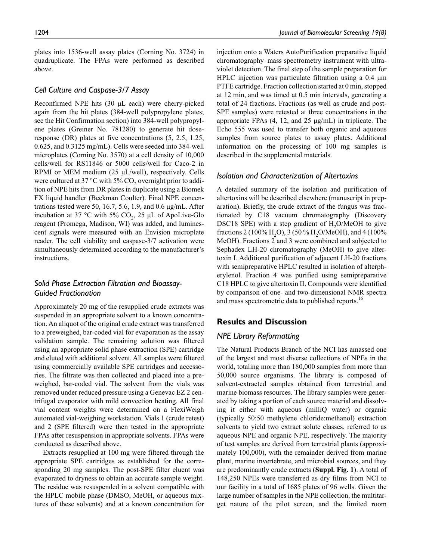plates into 1536-well assay plates (Corning No. 3724) in quadruplicate. The FPAs were performed as described above.

## *Cell Culture and Caspase-3/7 Assay*

Reconfirmed NPE hits (30 µL each) were cherry-picked again from the hit plates (384-well polypropylene plates; see the Hit Confirmation section) into 384-well polypropylene plates (Greiner No. 781280) to generate hit doseresponse (DR) plates at five concentrations (5, 2.5, 1.25, 0.625, and 0.3125 mg/mL). Cells were seeded into 384-well microplates (Corning No. 3570) at a cell density of 10,000 cells/well for RS11846 or 5000 cells/well for Caco-2 in RPMI or MEM medium (25 µL/well), respectively. Cells were cultured at 37 °C with 5%  $\mathrm{CO}_2$  overnight prior to addition of NPE hits from DR plates in duplicate using a Biomek FX liquid handler (Beckman Coulter). Final NPE concentrations tested were 50, 16.7, 5.6, 1.9, and 0.6  $\mu$ g/mL. After incubation at 37 °C with 5%  $CO_2$ , 25 µL of ApoLive-Glo reagent (Promega, Madison, WI) was added, and luminescent signals were measured with an Envision microplate reader. The cell viability and caspase-3/7 activation were simultaneously determined according to the manufacturer's instructions.

# *Solid Phase Extraction Filtration and Bioassay-Guided Fractionation*

Approximately 20 mg of the resupplied crude extracts was suspended in an appropriate solvent to a known concentration. An aliquot of the original crude extract was transferred to a preweighed, bar-coded vial for evaporation as the assay validation sample. The remaining solution was filtered using an appropriate solid phase extraction (SPE) cartridge and eluted with additional solvent. All samples were filtered using commercially available SPE cartridges and accessories. The filtrate was then collected and placed into a preweighed, bar-coded vial. The solvent from the vials was removed under reduced pressure using a Genevac EZ 2 centrifugal evaporator with mild convection heating. All final vial content weights were determined on a FlexiWeigh automated vial-weighing workstation. Vials 1 (crude retest) and 2 (SPE filtered) were then tested in the appropriate FPAs after resuspension in appropriate solvents. FPAs were conducted as described above.

Extracts resupplied at 100 mg were filtered through the appropriate SPE cartridges as established for the corresponding 20 mg samples. The post-SPE filter eluent was evaporated to dryness to obtain an accurate sample weight. The residue was resuspended in a solvent compatible with the HPLC mobile phase (DMSO, MeOH, or aqueous mixtures of these solvents) and at a known concentration for

injection onto a Waters AutoPurification preparative liquid chromatography–mass spectrometry instrument with ultraviolet detection. The final step of the sample preparation for HPLC injection was particulate filtration using a 0.4  $\mu$ m PTFE cartridge. Fraction collection started at 0 min, stopped at 12 min, and was timed at 0.5 min intervals, generating a total of 24 fractions. Fractions (as well as crude and post-SPE samples) were retested at three concentrations in the appropriate FPAs (4, 12, and 25 µg/mL) in triplicate. The Echo 555 was used to transfer both organic and aqueous samples from source plates to assay plates. Additional information on the processing of 100 mg samples is described in the supplemental materials.

## *Isolation and Characterization of Altertoxins*

A detailed summary of the isolation and purification of altertoxins will be described elsewhere (manuscript in preparation). Briefly, the crude extract of the fungus was fractionated by C18 vacuum chromatography (Discovery DSC18 SPE) with a step gradient of  $H<sub>2</sub>O/MeOH$  to give fractions 2 (100% H<sub>2</sub>O), 3 (50 % H<sub>2</sub>O/MeOH), and 4 (100% MeOH). Fractions 2 and 3 were combined and subjected to Sephadex LH-20 chromatography (MeOH) to give altertoxin I. Additional purification of adjacent LH-20 fractions with semipreparative HPLC resulted in isolation of alterpherylenol. Fraction 4 was purified using semipreparative C18 HPLC to give altertoxin II. Compounds were identified by comparison of one- and two-dimensional NMR spectra and mass spectrometric data to published reports.<sup>16</sup>

## **Results and Discussion**

# *NPE Library Reformatting*

The Natural Products Branch of the NCI has amassed one of the largest and most diverse collections of NPEs in the world, totaling more than 180,000 samples from more than 50,000 source organisms. The library is composed of solvent-extracted samples obtained from terrestrial and marine biomass resources. The library samples were generated by taking a portion of each source material and dissolving it either with aqueous (milliQ water) or organic (typically 50:50 methylene chloride:methanol) extraction solvents to yield two extract solute classes, referred to as aqueous NPE and organic NPE, respectively. The majority of test samples are derived from terrestrial plants (approximately 100,000), with the remainder derived from marine plant, marine invertebrate, and microbial sources, and they are predominantly crude extracts (**Suppl. Fig. 1**). A total of 148,250 NPEs were transferred as dry films from NCI to our facility in a total of 1685 plates of 96 wells. Given the large number of samples in the NPE collection, the multitarget nature of the pilot screen, and the limited room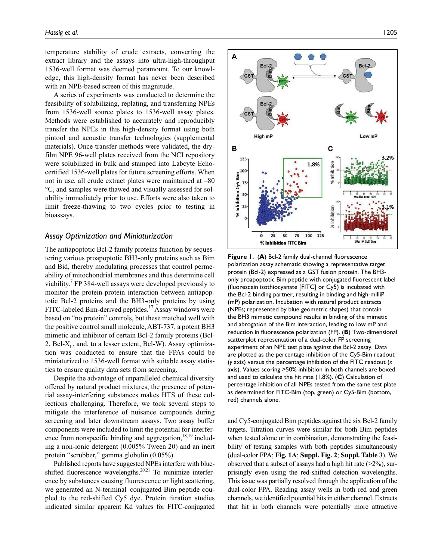temperature stability of crude extracts, converting the extract library and the assays into ultra-high-throughput 1536-well format was deemed paramount. To our knowledge, this high-density format has never been described with an NPE-based screen of this magnitude.

A series of experiments was conducted to determine the feasibility of solubilizing, replating, and transferring NPEs from 1536-well source plates to 1536-well assay plates. Methods were established to accurately and reproducibly transfer the NPEs in this high-density format using both pintool and acoustic transfer technologies (supplemental materials). Once transfer methods were validated, the dryfilm NPE 96-well plates received from the NCI repository were solubilized in bulk and stamped into Labcyte Echocertified 1536-well plates for future screening efforts. When not in use, all crude extract plates were maintained at –80 °C, and samples were thawed and visually assessed for solubility immediately prior to use. Efforts were also taken to limit freeze-thawing to two cycles prior to testing in bioassays.

#### *Assay Optimization and Miniaturization*

The antiapoptotic Bcl-2 family proteins function by sequestering various proapoptotic BH3-only proteins such as Bim and Bid, thereby modulating processes that control permeability of mitochondrial membranes and thus determine cell viability.<sup>7</sup> FP 384-well assays were developed previously to monitor the protein-protein interaction between antiapoptotic Bcl-2 proteins and the BH3-only proteins by using FITC-labeled Bim-derived peptides.<sup>17</sup> Assay windows were based on "no protein" controls, but these matched well with the positive control small molecule, ABT-737, a potent BH3 mimetic and inhibitor of certain Bcl-2 family proteins (Bcl-2,  $Bcl-X_L$ , and, to a lesser extent,  $Bcl-W$ ). Assay optimization was conducted to ensure that the FPAs could be miniaturized to 1536-well format with suitable assay statistics to ensure quality data sets from screening.

Despite the advantage of unparalleled chemical diversity offered by natural product mixtures, the presence of potential assay-interfering substances makes HTS of these collections challenging. Therefore, we took several steps to mitigate the interference of nuisance compounds during screening and later downstream assays. Two assay buffer components were included to limit the potential for interference from nonspecific binding and aggregation, $18,19$  including a non-ionic detergent (0.005% Tween 20) and an inert protein "scrubber," gamma globulin (0.05%).

Published reports have suggested NPEs interfere with blueshifted fluorescence wavelengths.<sup>20,21</sup> To minimize interference by substances causing fluorescence or light scattering, we generated an N-terminal–conjugated Bim peptide coupled to the red-shifted Cy5 dye. Protein titration studies indicated similar apparent Kd values for FITC-conjugated



**Figure 1.** (**A**) Bcl-2 family dual-channel fluorescence polarization assay schematic showing a representative target protein (Bcl-2) expressed as a GST fusion protein. The BH3 only proapoptotic Bim peptide with conjugated fluorescent label (fluorescein isothiocyanate [FITC] or Cy5) is incubated with the Bcl-2 binding partner, resulting in binding and high-milliP (mP) polarization. Incubation with natural product extracts (NPEs; represented by blue geometric shapes) that contain the BH3 mimetic compound results in binding of the mimetic and abrogation of the Bim interaction, leading to low mP and reduction in fluorescence polarization (FP). (**B**) Two-dimensional scatterplot representation of a dual-color FP screening experiment of an NPE test plate against the Bcl-2 assay. Data are plotted as the percentage inhibition of the Cy5-Bim readout (*y* axis) versus the percentage inhibition of the FITC readout (*x* axis). Values scoring >50% inhibition in both channels are boxed and used to calculate the hit rate (1.8%). (**C**) Calculation of percentage inhibition of all NPEs tested from the same test plate as determined for FITC-Bim (top, green) or Cy5-Bim (bottom, red) channels alone.

and Cy5-conjugated Bim peptides against the six Bcl-2 family targets. Titration curves were similar for both Bim peptides when tested alone or in combination, demonstrating the feasibility of testing samples with both peptides simultaneously (dual-color FPA; **Fig. 1A**; **Suppl. Fig. 2**; **Suppl. Table 3**). We observed that a subset of assays had a high hit rate  $(>=2\%)$ , surprisingly even using the red-shifted detection wavelengths. This issue was partially resolved through the application of the dual-color FPA. Reading assay wells in both red and green channels, we identified potential hits in either channel. Extracts that hit in both channels were potentially more attractive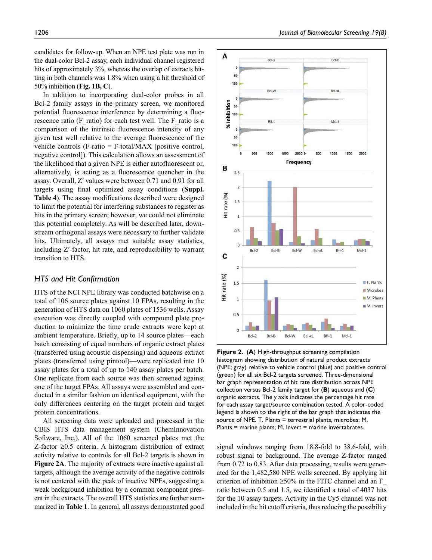candidates for follow-up. When an NPE test plate was run in the dual-color Bcl-2 assay, each individual channel registered hits of approximately 3%, whereas the overlap of extracts hitting in both channels was 1.8% when using a hit threshold of 50% inhibition (**Fig. 1B, C**).

In addition to incorporating dual-color probes in all Bcl-2 family assays in the primary screen, we monitored potential fluorescence interference by determining a fluorescence ratio (F\_ratio) for each test well. The F\_ratio is a comparison of the intrinsic fluorescence intensity of any given test well relative to the average fluorescence of the vehicle controls (F-ratio = F-total/MAX [positive control, negative control]). This calculation allows an assessment of the likelihood that a given NPE is either autofluorescent or, alternatively, is acting as a fluorescence quencher in the assay. Overall, Z′ values were between 0.71 and 0.91 for all targets using final optimized assay conditions (**Suppl. Table 4**). The assay modifications described were designed to limit the potential for interfering substances to register as hits in the primary screen; however, we could not eliminate this potential completely. As will be described later, downstream orthogonal assays were necessary to further validate hits. Ultimately, all assays met suitable assay statistics, including Z′-factor, hit rate, and reproducibility to warrant transition to HTS.

## *HTS and Hit Confirmation*

HTS of the NCI NPE library was conducted batchwise on a total of 106 source plates against 10 FPAs, resulting in the generation of HTS data on 1060 plates of 1536 wells. Assay execution was directly coupled with compound plate production to minimize the time crude extracts were kept at ambient temperature. Briefly, up to 14 source plates—each batch consisting of equal numbers of organic extract plates (transferred using acoustic dispensing) and aqueous extract plates (transferred using pintool)—were replicated into 10 assay plates for a total of up to 140 assay plates per batch. One replicate from each source was then screened against one of the target FPAs. All assays were assembled and conducted in a similar fashion on identical equipment, with the only differences centering on the target protein and target protein concentrations.

All screening data were uploaded and processed in the CBIS HTS data management system (ChemInnovation Software, Inc.). All of the 1060 screened plates met the Z-factor ≥0.5 criteria. A histogram distribution of extract activity relative to controls for all Bcl-2 targets is shown in **Figure 2A**. The majority of extracts were inactive against all targets, although the average activity of the negative controls is not centered with the peak of inactive NPEs, suggesting a weak background inhibition by a common component present in the extracts. The overall HTS statistics are further summarized in **Table 1**. In general, all assays demonstrated good



**Figure 2.** (**A**) High-throughput screening compilation histogram showing distribution of natural product extracts (NPE; gray) relative to vehicle control (blue) and positive control (green) for all six Bcl-2 targets screened. Three-dimensional bar graph representation of hit rate distribution across NPE collection versus Bcl-2 family target for (**B**) aqueous and (**C**) organic extracts. The *y* axis indicates the percentage hit rate for each assay target/source combination tested. A color-coded legend is shown to the right of the bar graph that indicates the source of NPE. T. Plants = terrestrial plants, microbes; M. Plants = marine plants; M. Invert = marine invertabrates.

signal windows ranging from 18.8-fold to 38.6-fold, with robust signal to background. The average Z-factor ranged from 0.72 to 0.83. After data processing, results were generated for the 1,482,580 NPE wells screened. By applying hit criterion of inhibition  $\geq 50\%$  in the FITC channel and an F ratio between 0.5 and 1.5, we identified a total of 4037 hits for the 10 assay targets. Activity in the Cy5 channel was not included in the hit cutoff criteria, thus reducing the possibility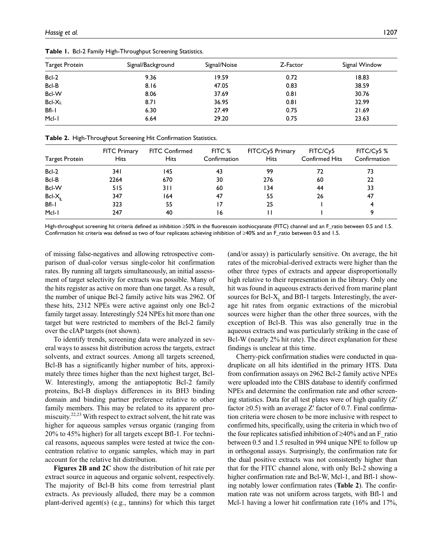| Target Protein | Signal/Background | Signal/Noise | Z-Factor | Signal Window |
|----------------|-------------------|--------------|----------|---------------|
| Bcl-2          | 9.36              | 19.59        | 0.72     | 18.83         |
| Bcl-B          | 8.16              | 47.05        | 0.83     | 38.59         |
| Bcl-W          | 8.06              | 37.69        | 0.81     | 30.76         |
| Bcl-XL         | 8.71              | 36.95        | 0.81     | 32.99         |
| $Bfl-1$        | 6.30              | 27.49        | 0.75     | 21.69         |
| Mcl-1          | 6.64              | 29.20        | 0.75     | 23.63         |

**Table 1.** Bcl-2 Family High-Throughput Screening Statistics.

|  |  | Table 2. High-Throughput Screening Hit Confirmation Statistics. |  |  |
|--|--|-----------------------------------------------------------------|--|--|
|--|--|-----------------------------------------------------------------|--|--|

| <b>Target Protein</b> | <b>FITC Primary</b><br><b>Hits</b> | <b>FITC Confirmed</b><br><b>Hits</b> | FITC %<br>Confirmation | FITC/Cy5 Primary<br><b>Hits</b> | FITC/Cy5<br><b>Confirmed Hits</b> | FITC/Cy5 %<br>Confirmation |
|-----------------------|------------------------------------|--------------------------------------|------------------------|---------------------------------|-----------------------------------|----------------------------|
| $Bcl-2$               | 34 I                               | 145                                  | 43                     | 99                              | 72                                | 73                         |
| Bcl-B                 | 2264                               | 670                                  | 30                     | 276                             | 60                                | 22                         |
| Bcl-W                 | 515                                | 3 I I                                | 60                     | 134                             | 44                                | 33                         |
| Bcl-X                 | 347                                | 164                                  | 47                     | 55                              | 26                                | 47                         |
| $Bfl-1$               | 323                                | 55                                   |                        | 25                              |                                   |                            |
| Mcl-1                 | 247                                | 40                                   | 16                     |                                 |                                   |                            |

High-throughput screening hit criteria defined as inhibition ≥50% in the fluorescein isothiocyanate (FITC) channel and an F\_ratio between 0.5 and 1.5. Confirmation hit criteria was defined as two of four replicates achieving inhibition of ≥40% and an F\_ratio between 0.5 and 1.5.

of missing false-negatives and allowing retrospective comparison of dual-color versus single-color hit confirmation rates. By running all targets simultaneously, an initial assessment of target selectivity for extracts was possible. Many of the hits register as active on more than one target. As a result, the number of unique Bcl-2 family active hits was 2962. Of these hits, 2312 NPEs were active against only one Bcl-2 family target assay. Interestingly 524 NPEs hit more than one target but were restricted to members of the Bcl-2 family over the cIAP targets (not shown).

To identify trends, screening data were analyzed in several ways to assess hit distribution across the targets, extract solvents, and extract sources. Among all targets screened, Bcl-B has a significantly higher number of hits, approximately three times higher than the next highest target, Bcl-W. Interestingly, among the antiapoptotic Bcl-2 family proteins, Bcl-B displays differences in its BH3 binding domain and binding partner preference relative to other family members. This may be related to its apparent promiscuity.<sup>22,23</sup> With respect to extract solvent, the hit rate was higher for aqueous samples versus organic (ranging from 20% to 45% higher) for all targets except Bfl-1. For technical reasons, aqueous samples were tested at twice the concentration relative to organic samples, which may in part account for the relative hit distribution.

**Figures 2B and 2C** show the distribution of hit rate per extract source in aqueous and organic solvent, respectively. The majority of Bcl-B hits come from terrestrial plant extracts. As previously alluded, there may be a common plant-derived agent(s) (e.g., tannins) for which this target (and/or assay) is particularly sensitive. On average, the hit rates of the microbial-derived extracts were higher than the other three types of extracts and appear disproportionally high relative to their representation in the library. Only one hit was found in aqueous extracts derived from marine plant sources for Bcl-X<sub>L</sub> and Bfl-1 targets. Interestingly, the average hit rates from organic extractions of the microbial sources were higher than the other three sources, with the exception of Bcl-B. This was also generally true in the aqueous extracts and was particularly striking in the case of Bcl-W (nearly 2% hit rate). The direct explanation for these findings is unclear at this time.

Cherry-pick confirmation studies were conducted in quadruplicate on all hits identified in the primary HTS. Data from confirmation assays on 2962 Bcl-2 family active NPEs were uploaded into the CBIS database to identify confirmed NPEs and determine the confirmation rate and other screening statistics. Data for all test plates were of high quality (Z′ factor  $\geq 0.5$ ) with an average Z' factor of 0.7. Final confirmation criteria were chosen to be more inclusive with respect to confirmed hits, specifically, using the criteria in which two of the four replicates satisfied inhibition of ≥40% and an F\_ratio between 0.5 and 1.5 resulted in 994 unique NPE to follow up in orthogonal assays. Surprisingly, the confirmation rate for the dual positive extracts was not consistently higher than that for the FITC channel alone, with only Bcl-2 showing a higher confirmation rate and Bcl-W, Mcl-1, and Bfl-1 showing notably lower confirmation rates (**Table 2**). The confirmation rate was not uniform across targets, with Bfl-1 and Mcl-1 having a lower hit confirmation rate (16% and 17%,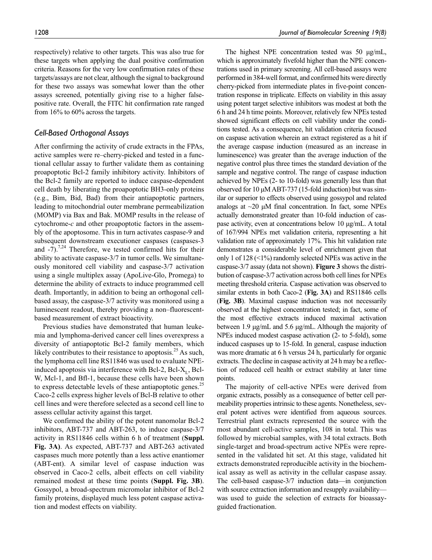respectively) relative to other targets. This was also true for these targets when applying the dual positive confirmation criteria. Reasons for the very low confirmation rates of these targets/assays are not clear, although the signal to background for these two assays was somewhat lower than the other assays screened, potentially giving rise to a higher falsepositive rate. Overall, the FITC hit confirmation rate ranged from 16% to 60% across the targets.

## *Cell-Based Orthogonal Assays*

After confirming the activity of crude extracts in the FPAs, active samples were re–cherry-picked and tested in a functional cellular assay to further validate them as containing proapoptotic Bcl-2 family inhibitory activity. Inhibitors of the Bcl-2 family are reported to induce caspase-dependent cell death by liberating the proapoptotic BH3-only proteins (e.g., Bim, Bid, Bad) from their antiapoptotic partners, leading to mitochondrial outer membrane permeabilization (MOMP) via Bax and Bak. MOMP results in the release of cytochrome-*c* and other proapoptotic factors in the assembly of the apoptosome. This in turn activates caspase-9 and subsequent downstream executioner caspases (caspases-3 and  $-7$ ).<sup>7,24</sup> Therefore, we tested confirmed hits for their ability to activate caspase-3/7 in tumor cells. We simultaneously monitored cell viability and caspase-3/7 activation using a single multiplex assay (ApoLive-Glo, Promega) to determine the ability of extracts to induce programmed cell death. Importantly, in addition to being an orthogonal cellbased assay, the caspase-3/7 activity was monitored using a luminescent readout, thereby providing a non–fluorescentbased measurement of extract bioactivity.

Previous studies have demonstrated that human leukemia and lymphoma-derived cancer cell lines overexpress a diversity of antiapoptotic Bcl-2 family members, which likely contributes to their resistance to apoptosis.<sup>25</sup> As such, the lymphoma cell line RS11846 was used to evaluate NPEinduced apoptosis via interference with Bcl-2, Bcl- $X_L$ , Bcl-W, Mcl-1, and Bfl-1, because these cells have been shown to express detectable levels of these antiapoptotic genes.<sup>25</sup> Caco-2 cells express higher levels of Bcl-B relative to other cell lines and were therefore selected as a second cell line to assess cellular activity against this target.

We confirmed the ability of the potent nanomolar Bcl-2 inhibitors, ABT-737 and ABT-263, to induce caspase-3/7 activity in RS11846 cells within 6 h of treatment (**Suppl. Fig. 3A)**. As expected, ABT-737 and ABT-263 activated caspases much more potently than a less active enantiomer (ABT-ent). A similar level of caspase induction was observed in Caco-2 cells, albeit effects on cell viability remained modest at these time points (**Suppl. Fig. 3B**). Gossypol, a broad-spectrum micromolar inhibitor of Bcl-2 family proteins, displayed much less potent caspase activation and modest effects on viability.

The highest NPE concentration tested was 50  $\mu$ g/mL, which is approximately fivefold higher than the NPE concentrations used in primary screening. All cell-based assays were performed in 384-well format, and confirmed hits were directly cherry-picked from intermediate plates in five-point concentration response in triplicate. Effects on viability in this assay using potent target selective inhibitors was modest at both the 6 h and 24 h time points. Moreover, relatively few NPEs tested showed significant effects on cell viability under the conditions tested. As a consequence, hit validation criteria focused on caspase activation wherein an extract registered as a hit if the average caspase induction (measured as an increase in luminescence) was greater than the average induction of the negative control plus three times the standard deviation of the sample and negative control. The range of caspase induction achieved by NPEs (2- to 10-fold) was generally less than that observed for 10 µM ABT-737 (15-fold induction) but was similar or superior to effects observed using gossypol and related analogs at  $\sim$ 20  $\mu$ M final concentration. In fact, some NPEs actually demonstrated greater than 10-fold induction of caspase activity, even at concentrations below 10 µg/mL. A total of 167/994 NPEs met validation criteria, representing a hit validation rate of approximately 17%. This hit validation rate demonstrates a considerable level of enrichment given that only 1 of 128 (<1%) randomly selected NPEs was active in the caspase-3/7 assay (data not shown). **Figure 3** shows the distribution of caspase-3/7 activation across both cell lines for NPEs meeting threshold criteria. Caspase activation was observed to similar extents in both Caco-2 (**Fig. 3A**) and RS11846 cells (**Fig. 3B**). Maximal caspase induction was not necessarily observed at the highest concentration tested; in fact, some of the most effective extracts induced maximal activation between 1.9 µg/mL and 5.6 µg/mL. Although the majority of NPEs induced modest caspase activation (2- to 5-fold), some induced caspases up to 15-fold. In general, caspase induction was more dramatic at 6 h versus 24 h, particularly for organic extracts. The decline in caspase activity at 24 h may be a reflection of reduced cell health or extract stability at later time points.

The majority of cell-active NPEs were derived from organic extracts, possibly as a consequence of better cell permeability properties intrinsic to these agents. Nonetheless, several potent actives were identified from aqueous sources. Terrestrial plant extracts represented the source with the most abundant cell-active samples, 108 in total. This was followed by microbial samples, with 34 total extracts. Both single-target and broad-spectrum active NPEs were represented in the validated hit set. At this stage, validated hit extracts demonstrated reproducible activity in the biochemical assay as well as activity in the cellular caspase assay. The cell-based caspase-3/7 induction data—in conjunction with source extraction information and resupply availability was used to guide the selection of extracts for bioassayguided fractionation.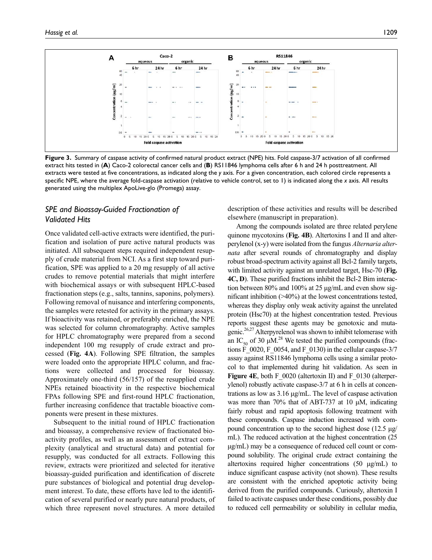

**Figure 3.** Summary of caspase activity of confirmed natural product extract (NPE) hits. Fold caspase-3/7 activation of all confirmed extract hits tested in (**A**) Caco-2 colorectal cancer cells and (**B**) RS11846 lymphoma cells after 6 h and 24 h posttreatment. All extracts were tested at five concentrations, as indicated along the *y* axis. For a given concentration, each colored circle represents a specific NPE, where the average fold-caspase activation (relative to vehicle control, set to 1) is indicated along the *x* axis. All results generated using the multiplex ApoLive-glo (Promega) assay.

# *SPE and Bioassay-Guided Fractionation of Validated Hits*

Once validated cell-active extracts were identified, the purification and isolation of pure active natural products was initiated. All subsequent steps required independent resupply of crude material from NCI. As a first step toward purification, SPE was applied to a 20 mg resupply of all active crudes to remove potential materials that might interfere with biochemical assays or with subsequent HPLC-based fractionation steps (e.g., salts, tannins, saponins, polymers). Following removal of nuisance and interfering components, the samples were retested for activity in the primary assays. If bioactivity was retained, or preferably enriched, the NPE was selected for column chromatography. Active samples for HPLC chromatography were prepared from a second independent 100 mg resupply of crude extract and processed (**Fig. 4A**). Following SPE filtration, the samples were loaded onto the appropriate HPLC column, and fractions were collected and processed for bioassay. Approximately one-third (56/157) of the resupplied crude NPEs retained bioactivity in the respective biochemical FPAs following SPE and first-round HPLC fractionation, further increasing confidence that tractable bioactive components were present in these mixtures.

Subsequent to the initial round of HPLC fractionation and bioassay, a comprehensive review of fractionated bioactivity profiles, as well as an assessment of extract complexity (analytical and structural data) and potential for resupply, was conducted for all extracts. Following this review, extracts were prioritized and selected for iterative bioassay-guided purification and identification of discrete pure substances of biological and potential drug development interest. To date, these efforts have led to the identification of several purified or nearly pure natural products, of which three represent novel structures. A more detailed

description of these activities and results will be described elsewhere (manuscript in preparation).

Among the compounds isolated are three related perylene quinone mycotoxins (**Fig. 4B**). Altertoxins I and II and alterperylenol (x-y) were isolated from the fungus *Alternaria alternata* after several rounds of chromatography and display robust broad-spectrum activity against all Bcl-2 family targets, with limited activity against an unrelated target, Hsc-70 (**Fig. 4C, D**). These purified fractions inhibit the Bcl-2 Bim interaction between 80% and 100% at 25 µg/mL and even show significant inhibition (>40%) at the lowest concentrations tested, whereas they display only weak activity against the unrelated protein (Hsc70) at the highest concentration tested. Previous reports suggest these agents may be genotoxic and mutagenic.26,27 Alterpyrelenol was shown to inhibit telomerase with an IC<sub>50</sub> of 30  $\mu$ M.<sup>28</sup> We tested the purified compounds (fractions F\_0020, F\_0054, and F\_0130) in the cellular caspase- $3/7$ assay against RS11846 lymphoma cells using a similar protocol to that implemented during hit validation. As seen in **Figure 4E**, both F\_0020 (altertoxin II) and F\_0130 (alterperylenol) robustly activate caspase-3/7 at 6 h in cells at concentrations as low as 3.16 µg/mL. The level of caspase activation was more than 70% that of ABT-737 at 10 µM, indicating fairly robust and rapid apoptosis following treatment with these compounds. Caspase induction increased with compound concentration up to the second highest dose  $(12.5 \text{ µg})$ mL). The reduced activation at the highest concentration (25 µg/mL) may be a consequence of reduced cell count or compound solubility. The original crude extract containing the altertoxins required higher concentrations (50 µg/mL) to induce significant caspase activity (not shown). These results are consistent with the enriched apoptotic activity being derived from the purified compounds. Curiously, altertoxin I failed to activate caspases under these conditions, possibly due to reduced cell permeability or solubility in cellular media,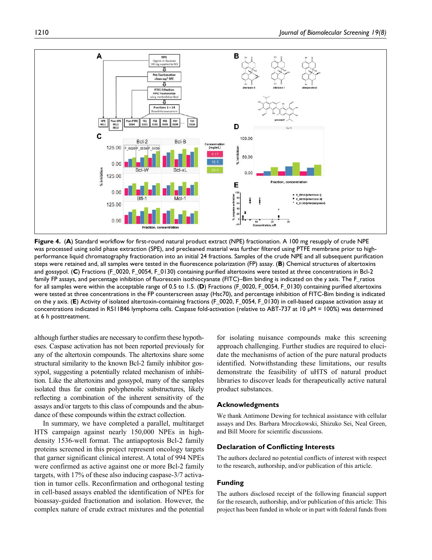

**Figure 4.** (**A**) Standard workflow for first-round natural product extract (NPE) fractionation. A 100 mg resupply of crude NPE was processed using solid phase extraction (SPE), and precleaned material was further filtered using PTFE membrane prior to highperformance liquid chromatography fractionation into an initial 24 fractions. Samples of the crude NPE and all subsequent purification steps were retained and, all samples were tested in the fluorescence polarization (FP) assay. (**B**) Chemical structures of altertoxins and gossypol. (**C**) Fractions (F\_0020, F\_0054, F\_0130) containing purified altertoxins were tested at three concentrations in Bcl-2 family FP assays, and percentage inhibition of fluorescein isothiocyanate (FITC)–Bim binding is indicated on the *y* axis. The F\_ratios for all samples were within the acceptable range of 0.5 to 1.5. (**D**) Fractions (F\_0020, F\_0054, F\_0130) containing purified altertoxins were tested at three concentrations in the FP counterscreen assay (Hsc70), and percentage inhibition of FITC-Bim binding is indicated on the *y* axis. (**E**) Activity of isolated altertoxin-containing fractions (F\_0020, F\_0054, F\_0130) in cell-based caspase activation assay at concentrations indicated in RS11846 lymphoma cells. Caspase fold-activation (relative to ABT-737 at 10 µM = 100%) was determined at 6 h posttreatment.

although further studies are necessary to confirm these hypotheses. Caspase activation has not been reported previously for any of the altertoxin compounds. The altertoxins share some structural similarity to the known Bcl-2 family inhibitor gossypol, suggesting a potentially related mechanism of inhibition. Like the altertoxins and gossypol, many of the samples isolated thus far contain polyphenolic substructures, likely reflecting a combination of the inherent sensitivity of the assays and/or targets to this class of compounds and the abundance of these compounds within the extract collection.

In summary, we have completed a parallel, multitarget HTS campaign against nearly 150,000 NPEs in highdensity 1536-well format. The antiapoptosis Bcl-2 family proteins screened in this project represent oncology targets that garner significant clinical interest. A total of 994 NPEs were confirmed as active against one or more Bcl-2 family targets, with 17% of these also inducing caspase-3/7 activation in tumor cells. Reconfirmation and orthogonal testing in cell-based assays enabled the identification of NPEs for bioassay-guided fractionation and isolation. However, the complex nature of crude extract mixtures and the potential for isolating nuisance compounds make this screening approach challenging. Further studies are required to elucidate the mechanisms of action of the pure natural products identified. Notwithstanding these limitations, our results demonstrate the feasibility of uHTS of natural product libraries to discover leads for therapeutically active natural product substances.

### **Acknowledgments**

We thank Antimone Dewing for technical assistance with cellular assays and Drs. Barbara Mroczkowski, Shizuko Sei, Neal Green, and Bill Moore for scientific discussions.

#### **Declaration of Conflicting Interests**

The authors declared no potential conflicts of interest with respect to the research, authorship, and/or publication of this article.

#### **Funding**

The authors disclosed receipt of the following financial support for the research, authorship, and/or publication of this article: This project has been funded in whole or in part with federal funds from